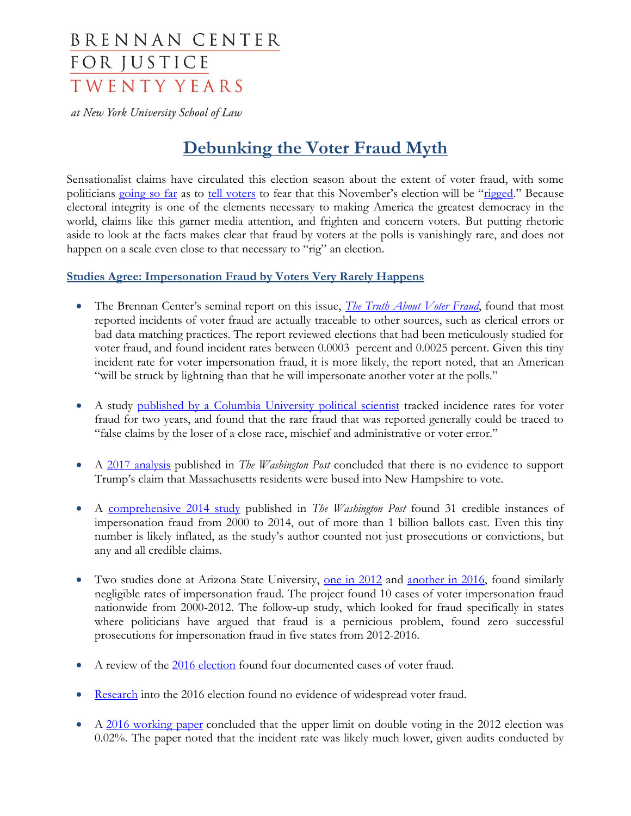# **BRENNAN CENTER** FOR JUSTICE **TWENTY YEARS**

at New York University School of Law

## **Debunking the Voter Fraud Myth**

Sensationalist claims have circulated this election season about the extent of voter fraud, with some politicians [going so far](http://www.cnn.com/2016/08/12/politics/donald-trump-pennsylvania-cheating/) as to [tell voters](http://thehill.com/blogs/pundits-blog/presidential-campaign/291534-can-the-2016-election-be-rigged-you-bet) to fear that this November's election will be "[rigged.](https://www.youtube.com/watch?v=3mKzYPt0Bu4&feature=youtu.be)" Because electoral integrity is one of the elements necessary to making America the greatest democracy in the world, claims like this garner media attention, and frighten and concern voters. But putting rhetoric aside to look at the facts makes clear that fraud by voters at the polls is vanishingly rare, and does not happen on a scale even close to that necessary to "rig" an election.

## **Studies Agree: Impersonation Fraud by Voters Very Rarely Happens**

- The Brennan Center's seminal report on this issue, *[The Truth About Voter Fraud](https://www.brennancenter.org/publication/truth-about-voter-fraud)*, found that most reported incidents of voter fraud are actually traceable to other sources, such as clerical errors or bad data matching practices. The report reviewed elections that had been meticulously studied for voter fraud, and found incident rates between 0.0003 percent and 0.0025 percent. Given this tiny incident rate for voter impersonation fraud, it is more likely, the report noted, that an American "will be struck by lightning than that he will impersonate another voter at the polls."
- A study [published by a Columbia University political scientist](http://www.projectvote.org/wp-content/uploads/2007/03/Politics_of_Voter_Fraud_Final.pdf) tracked incidence rates for voter fraud for two years, and found that the rare fraud that was reported generally could be traced to "false claims by the loser of a close race, mischief and administrative or voter error."
- A [2017 analysis](https://www.washingtonpost.com/news/monkey-cage/wp/2017/02/28/we-cant-find-any-evidence-of-voting-fraud-in-new-hampshire/?utm_term=.9ab385c64fa0) published in *The Washington Post* concluded that there is no evidence to support Trump's claim that Massachusetts residents were bused into New Hampshire to vote.
- A [comprehensive 2014 study](https://www.washingtonpost.com/news/wonk/wp/2014/08/06/a-comprehensive-investigation-of-voter-impersonation-finds-31-credible-incidents-out-of-one-billion-ballots-cast/) published in *The Washington Post* found 31 credible instances of impersonation fraud from 2000 to 2014, out of more than 1 billion ballots cast. Even this tiny number is likely inflated, as the study's author counted not just prosecutions or convictions, but any and all credible claims.
- Two studies done at Arizona State University, <u>one in 2012</u> and [another in 2016,](https://votingwars.news21.com/voter-fraud-is-not-a-persistent-problem/) found similarly negligible rates of impersonation fraud. The project found 10 cases of voter impersonation fraud nationwide from 2000-2012. The follow-up study, which looked for fraud specifically in states where politicians have argued that fraud is a pernicious problem, found zero successful prosecutions for impersonation fraud in five states from 2012-2016.
- A review of the [2016 election](https://www.washingtonpost.com/news/the-fix/wp/2016/12/01/0-000002-percent-of-all-the-ballots-cast-in-the-2016-election-were-fraudulent/?utm_term=.ff52dd16d6e0) found four documented cases of voter fraud.
- [Research](http://www.dartmouth.edu/~voterfraud/) into the 2016 election found no evidence of widespread voter fraud.
- A [2016 working paper](https://www.dropbox.com/s/fokd83nn4x6wuw9/OnePersonOneVote.pdf?dl=0) concluded that the upper limit on double voting in the 2012 election was 0.02%. The paper noted that the incident rate was likely much lower, given audits conducted by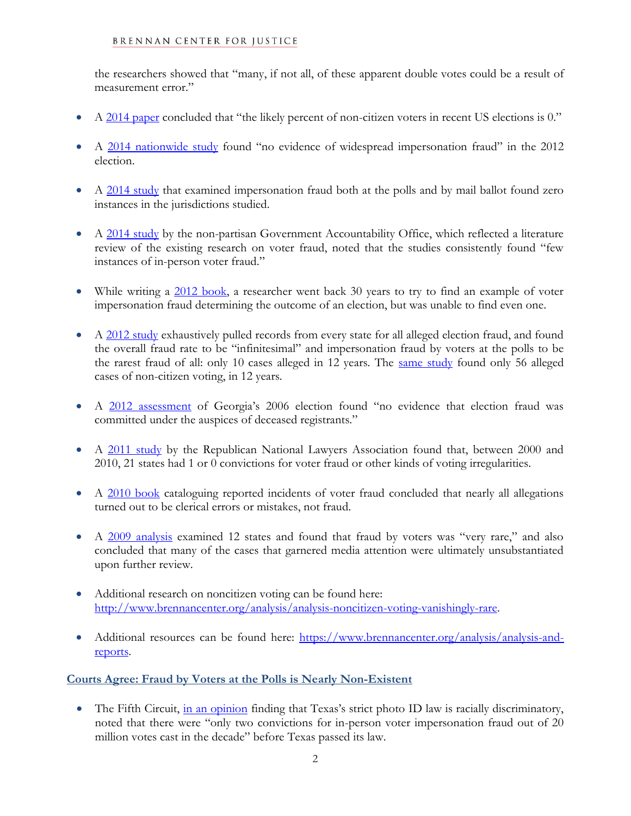#### BRENNAN CENTER FOR JUSTICE

the researchers showed that "many, if not all, of these apparent double votes could be a result of measurement error."

- A [2014 paper](http://projects.iq.harvard.edu/cces/news/perils-cherry-picking-low-frequency-events-large-sample-surveys) concluded that "the likely percent of non-citizen voters in recent US elections is 0."
- A [2014 nationwide study](http://online.liebertpub.com/doi/abs/10.1089/elj.2013.0231) found "no evidence of widespread impersonation fraud" in the 2012 election.
- A [2014 study](http://journals.sagepub.com/doi/pdf/10.1177/1532673X13498411) that examined impersonation fraud both at the polls and by mail ballot found zero instances in the jurisdictions studied.
- A [2014 study](http://www.gao.gov/assets/670/665966.pdf) by the non-partisan Government Accountability Office, which reflected a literature review of the existing research on voter fraud, noted that the studies consistently found "few instances of in-person voter fraud."
- While writing a [2012 book,](http://www.newyorker.com/magazine/2012/10/29/the-voter-fraud-myth) a researcher went back 30 years to try to find an example of voter impersonation fraud determining the outcome of an election, but was unable to find even one.
- A [2012 study](http://votingrights.news21.com/article/election-fraud/) exhaustively pulled records from every state for all alleged election fraud, and found the overall fraud rate to be "infinitesimal" and impersonation fraud by voters at the polls to be the rarest fraud of all: only 10 cases alleged in 12 years. The [same study](http://votingrights.news21.com/article/election-fraud/) found only 56 alleged cases of non-citizen voting, in 12 years.
- A [2012 assessment](http://digitalcommons.kennesaw.edu/facpubs/2165/) of Georgia's 2006 election found "no evidence that election fraud was committed under the auspices of deceased registrants."
- A [2011 study](http://www.huffingtonpost.com/debbie-hines/voter-fraud-statistics_b_1139085.html) by the Republican National Lawyers Association found that, between 2000 and 2010, 21 states had 1 or 0 convictions for voter fraud or other kinds of voting irregularities.
- A [2010 book](http://www.nbcnews.com/news/us-news/study-finds-no-evidence-widespread-voter-fraud-n637776) cataloguing reported incidents of voter fraud concluded that nearly all allegations turned out to be clerical errors or mistakes, not fraud.
- A [2009 analysis](file://///bcnyfs01.brennancenterny.org/brennan/Public/Democracy/Voting%20Rights%20&%20Elections/Election%202016/Election%202016%20Controversies/A%202009%20analysis%20examined%2012%20states%20and%20found%20that%20fraud%20by%20voters%20was%20) examined 12 states and found that fraud by voters was "very rare," and also concluded that many of the cases that garnered media attention were ultimately unsubstantiated upon further review.
- Additional research on noncitizen voting can be found here: [http://www.brennancenter.org/analysis/analysis-noncitizen-voting-vanishingly-rare.](http://www.brennancenter.org/analysis/analysis-noncitizen-voting-vanishingly-rare)
- Additional resources can be found here: [https://www.brennancenter.org/analysis/analysis-and](https://www.brennancenter.org/analysis/analysis-and-reports)[reports.](https://www.brennancenter.org/analysis/analysis-and-reports)

#### **Courts Agree: Fraud by Voters at the Polls is Nearly Non-Existent**

• The Fifth Circuit, [in an opinion](https://www.brennancenter.org/sites/default/files/legal-work/2016.07.20_En%20Banc%20Opinion.pdf) finding that Texas's strict photo ID law is racially discriminatory, noted that there were "only two convictions for in-person voter impersonation fraud out of 20 million votes cast in the decade" before Texas passed its law.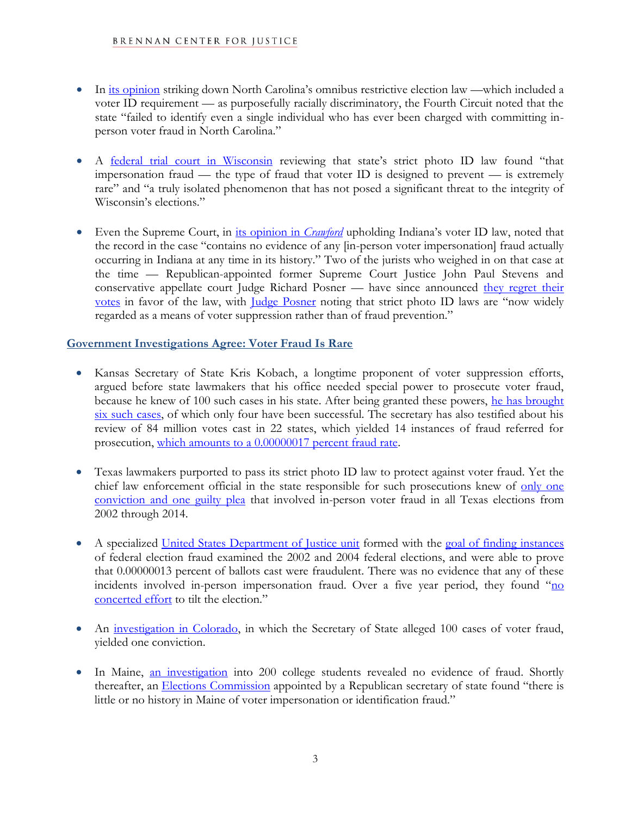- In [its opinion](http://electionlawblog.org/wp-content/uploads/nc-4th.pdf) striking down North Carolina's omnibus restrictive election law —which included a voter ID requirement — as purposefully racially discriminatory, the Fourth Circuit noted that the state "failed to identify even a single individual who has ever been charged with committing inperson voter fraud in North Carolina."
- A [federal trial court in Wisconsin](https://www.aclu.org/legal-document/frank-v-walker-preliminary-injunction-motion-granted?redirect=legal-document/frank-v-walker-motion-granted) reviewing that state's strict photo ID law found "that impersonation fraud — the type of fraud that voter ID is designed to prevent — is extremely rare" and "a truly isolated phenomenon that has not posed a significant threat to the integrity of Wisconsin's elections."
- Even the Supreme Court, in [its opinion in](https://www.law.cornell.edu/supct/html/07-21.ZO.html) *Crawford* upholding Indiana's voter ID law, noted that the record in the case "contains no evidence of any [in-person voter impersonation] fraud actually occurring in Indiana at any time in its history." Two of the jurists who weighed in on that case at the time — Republican-appointed former Supreme Court Justice John Paul Stevens and conservative appellate court Judge Richard Posner — have since announced [they regret their](https://www.washingtonpost.com/politics/courts_law/stevens-says-supreme-court-decision-on-voter-id-was-correct-but-maybe-not-right/2016/05/15/9683c51c-193f-11e6-9e16-2e5a123aac62_story.html)  [votes](https://www.washingtonpost.com/politics/courts_law/stevens-says-supreme-court-decision-on-voter-id-was-correct-but-maybe-not-right/2016/05/15/9683c51c-193f-11e6-9e16-2e5a123aac62_story.html) in favor of the law, with [Judge Posner](http://www.nytimes.com/2013/10/16/us/politics/judge-in-landmark-case-disavows-support-for-voter-id.html) noting that strict photo ID laws are "now widely regarded as a means of voter suppression rather than of fraud prevention."

## **Government Investigations Agree: Voter Fraud Is Rare**

- Kansas Secretary of State Kris Kobach, a longtime proponent of voter suppression efforts, argued before state lawmakers that his office needed special power to prosecute voter fraud, because he knew of 100 such cases in his state. After being granted these powers, [he has brought](http://www.kansascity.com/opinion/editorials/article77519827.html)  [six such cases,](http://www.kansascity.com/opinion/editorials/article77519827.html) of which only four have been successful. The secretary has also testified about his review of 84 million votes cast in 22 states, which yielded 14 instances of fraud referred for prosecution, [which amounts to a](https://www.thenation.com/article/voter-fraud-witch-hunt-kansas/) 0.00000017 percent fraud rate.
- Texas lawmakers purported to pass its strict photo ID law to protect against voter fraud. Yet the chief law enforcement official in the state responsible for such prosecutions knew of only one [conviction and one guilty plea](https://www.brennancenter.org/sites/default/files/legal-work/Findings.pdf) that involved in-person voter fraud in all Texas elections from 2002 through 2014.
- A specialized [United States Department of Justice unit](https://www.aclupa.org/files/1913/7960/9095/Minnite.pdf) formed with the [goal of finding instances](https://www.brennancenter.org/publication/justice-departments-voter-fraud-scandal-lessons) of federal election fraud examined the 2002 and 2004 federal elections, and were able to prove that 0.00000013 percent of ballots cast were fraudulent. There was no evidence that any of these incidents involved in-person impersonation fraud. Over a five year period, they found "no [concerted effort](http://www.nytimes.com/2007/04/12/washington/12fraud.html) to tilt the election."
- An [investigation in Colorado,](http://www.aurorasentinel.com/news/gessler-voter-sting-nets-1-conviction-despite-accusation-widespread-fraud/) in which the Secretary of State alleged 100 cases of voter fraud, yielded one conviction.
- In Maine, [an investigation](http://www.brennancenter.org/blog/ballot-box-bullies) into 200 college students revealed no evidence of fraud. Shortly thereafter, an **[Elections Commission](http://www.maine.gov/sos/cec/elec/ElectionsCommissionReport.pdf)** appointed by a Republican secretary of state found "there is little or no history in Maine of voter impersonation or identification fraud."